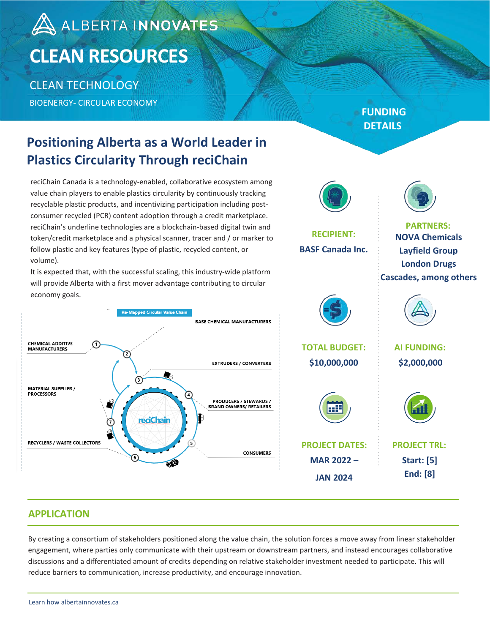# A ALBERTA INNOVATES **CLEAN RESOURCES**

### CLEAN TECHNOLOGY

BIOENERGY- CIRCULAR ECONOMY

### **Positioning Alberta as a World Leader in Plastics Circularity Through reciChain**

reciChain Canada is a technology-enabled, collaborative ecosystem among value chain players to enable plastics circularity by continuously tracking recyclable plastic products, and incentivizing participation including postconsumer recycled (PCR) content adoption through a credit marketplace. reciChain's underline technologies are a blockchain-based digital twin and token/credit marketplace and a physical scanner, tracer and / or marker to follow plastic and key features (type of plastic, recycled content, or volume).

It is expected that, with the successful scaling, this industry-wide platform will provide Alberta with a first mover advantage contributing to circular economy goals.



### **FUNDING DETAILS**



#### **APPLICATION**

By creating a consortium of stakeholders positioned along the value chain, the solution forces a move away from linear stakeholder engagement, where parties only communicate with their upstream or downstream partners, and instead encourages collaborative discussions and a differentiated amount of credits depending on relative stakeholder investment needed to participate. This will reduce barriers to communication, increase productivity, and encourage innovation.